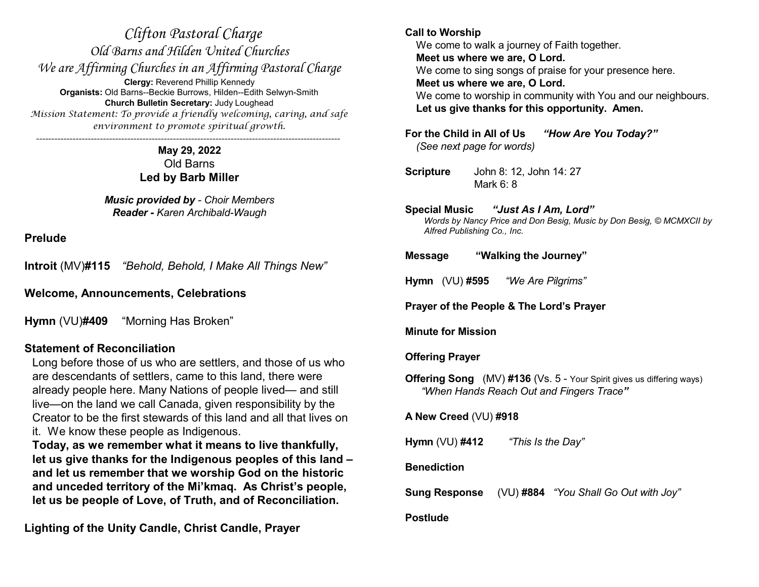*Clifton Pastoral Charge Old Barns and Hilden United Churches We are Affirming Churches in an Affirming Pastoral Charge* **Clergy:** Reverend Phillip Kennedy **Organists:** Old Barns--Beckie Burrows, Hilden--Edith Selwyn-Smith **Church Bulletin Secretary:** Judy Loughead *Mission Statement: To provide a friendly welcoming, caring, and safe environment to promote spiritual growth. ----------------------------------------------------------------------------------------------------*

> **May 29, 2022** Old Barns **Led by Barb Miller**

*Music provided by - Choir Members Reader - Karen Archibald-Waugh*

**Prelude**

**Introit** (MV)**#115** *"Behold, Behold, I Make All Things New"*

**Welcome, Announcements, Celebrations**

**Hymn** (VU)**#409** "Morning Has Broken"

# **Statement of Reconciliation**

Long before those of us who are settlers, and those of us who are descendants of settlers, came to this land, there were already people here. Many Nations of people lived— and still live—on the land we call Canada, given responsibility by the Creator to be the first stewards of this land and all that lives on it. We know these people as Indigenous.

**Today, as we remember what it means to live thankfully, let us give thanks for the Indigenous peoples of this land – and let us remember that we worship God on the historic and unceded territory of the Mi'kmaq. As Christ's people, let us be people of Love, of Truth, and of Reconciliation.** 

**Lighting of the Unity Candle, Christ Candle, Prayer**

#### **Call to Worship**

We come to walk a journey of Faith together. **Meet us where we are, O Lord.** We come to sing songs of praise for your presence here. **Meet us where we are, O Lord.** We come to worship in community with You and our neighbours. **Let us give thanks for this opportunity. Amen.**

**For the Child in All of Us** *"How Are You Today?" (See next page for words)*

**Scripture** John 8: 12, John 14: 27 Mark 6: 8

#### **Special Music** *"Just As I Am, Lord"*

*Words by Nancy Price and Don Besig, Music by Don Besig, © MCMXCII by Alfred Publishing Co., Inc.*

#### **Message "Walking the Journey"**

**Hymn** (VU) **#595** *"We Are Pilgrims"*

**Prayer of the People & The Lord's Prayer**

**Minute for Mission**

### **Offering Prayer**

**Offering Song** (MV) #136 (Vs. 5 - Your Spirit gives us differing ways) *"When Hands Reach Out and Fingers Trace"*

**A New Creed** (VU) **#918**

**Hymn** (VU) **#412** *"This Is the Day"*

### **Benediction**

**Sung Response** (VU) **#884** *"You Shall Go Out with Joy"*

#### **Postlude**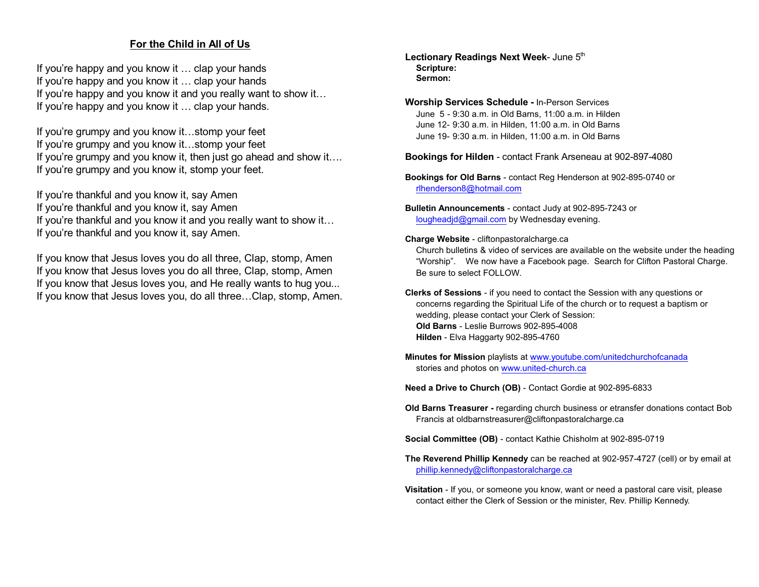#### **For the Child in All of Us**

If you're happy and you know it … clap your hands If you're happy and you know it … clap your hands If you're happy and you know it and you really want to show it... If you're happy and you know it … clap your hands.

If you're grumpy and you know it…stomp your feet If you're grumpy and you know it…stomp your feet If you're grumpy and you know it, then just go ahead and show it…. If you're grumpy and you know it, stomp your feet.

If you're thankful and you know it, say Amen If you're thankful and you know it, say Amen If you're thankful and you know it and you really want to show it... If you're thankful and you know it, say Amen.

If you know that Jesus loves you do all three, Clap, stomp, Amen If you know that Jesus loves you do all three, Clap, stomp, Amen If you know that Jesus loves you, and He really wants to hug you... If you know that Jesus loves you, do all three…Clap, stomp, Amen. Lectionary Readings Next Week- June 5<sup>th</sup> **Scripture: Sermon:**

**Worship Services Schedule -** In-Person Services June 5 - 9:30 a.m. in Old Barns, 11:00 a.m. in Hilden June 12- 9:30 a.m. in Hilden, 11:00 a.m. in Old Barns June 19- 9:30 a.m. in Hilden, 11:00 a.m. in Old Barns

**Bookings for Hilden** - contact Frank Arseneau at 902-897-4080

- **Bookings for Old Barns** contact Reg Henderson at 902-895-0740 or [rlhenderson8@hotmail.com](mailto:rlhenderson8@hotmail.com)
- **Bulletin Announcements** contact Judy at 902-895-7243 or [lougheadjd@gmail.com](mailto:lougheadjd@gmail.com) by Wednesday evening.
- **Charge Website** cliftonpastoralcharge.ca

Church bulletins & video of services are available on the website under the heading "Worship". We now have a Facebook page. Search for Clifton Pastoral Charge. Be sure to select FOLLOW.

- **Clerks of Sessions** if you need to contact the Session with any questions or concerns regarding the Spiritual Life of the church or to request a baptism or wedding, please contact your Clerk of Session: **Old Barns** - Leslie Burrows 902-895-4008 **Hilden** - Elva Haggarty 902-895-4760
- **Minutes for Mission** playlists at [www.youtube.com/unitedchurchofcanada](http://www.youtube.com/unitedchurchofcanada) stories and photos on [www.united-church.ca](http://www.united-church.ca)

**Need a Drive to Church (OB)** - Contact Gordie at 902-895-6833

**Old Barns Treasurer -** regarding church business or etransfer donations contact Bob Francis at oldbarnstreasurer@cliftonpastoralcharge.ca

**Social Committee (OB)** - contact Kathie Chisholm at 902-895-0719

- **The Reverend Phillip Kennedy** can be reached at 902-957-4727 (cell) or by email at [phillip.kennedy@cliftonpastoralcharge.ca](mailto:phillip.kennedy@cliftonpastoralcharge.ca)
- **Visitation** If you, or someone you know, want or need a pastoral care visit, please contact either the Clerk of Session or the minister, Rev. Phillip Kennedy.